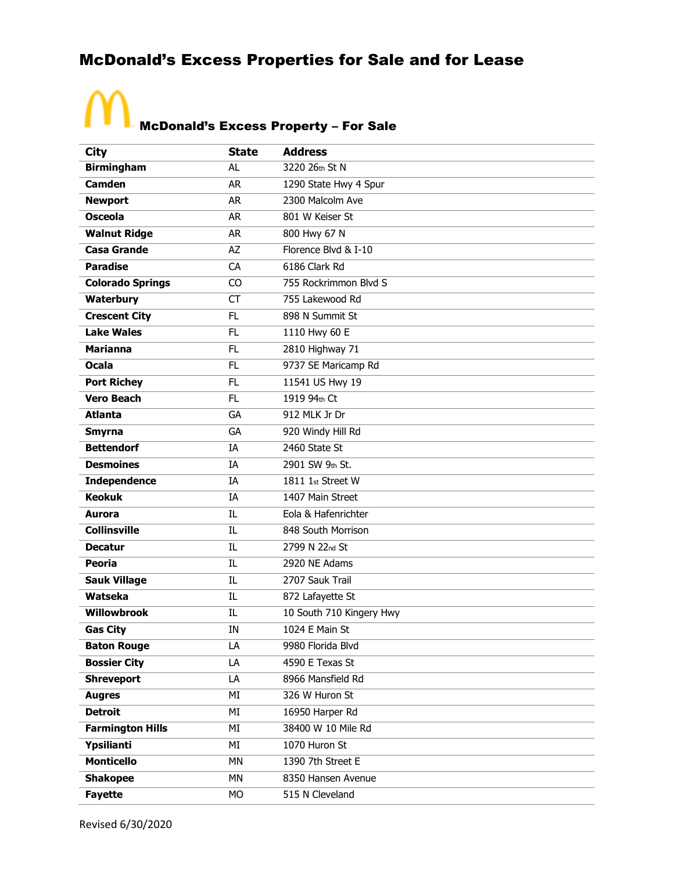#### McDonald's Excess Properties for Sale and for Lease

### McDonald's Excess Property – For Sale

 $\Lambda$ 

| <b>City</b>             | <b>State</b> | <b>Address</b>           |
|-------------------------|--------------|--------------------------|
| <b>Birmingham</b>       | AL           | 3220 26th St N           |
| <b>Camden</b>           | <b>AR</b>    | 1290 State Hwy 4 Spur    |
| <b>Newport</b>          | <b>AR</b>    | 2300 Malcolm Ave         |
| <b>Osceola</b>          | <b>AR</b>    | 801 W Keiser St          |
| <b>Walnut Ridge</b>     | <b>AR</b>    | 800 Hwy 67 N             |
| <b>Casa Grande</b>      | AZ           | Florence Blvd & I-10     |
| <b>Paradise</b>         | CA           | 6186 Clark Rd            |
| <b>Colorado Springs</b> | CO           | 755 Rockrimmon Blvd S    |
| Waterbury               | <b>CT</b>    | 755 Lakewood Rd          |
| <b>Crescent City</b>    | FL.          | 898 N Summit St          |
| <b>Lake Wales</b>       | FL.          | 1110 Hwy 60 E            |
| <b>Marianna</b>         | FL.          | 2810 Highway 71          |
| <b>Ocala</b>            | FL.          | 9737 SE Maricamp Rd      |
| <b>Port Richey</b>      | FL.          | 11541 US Hwy 19          |
| <b>Vero Beach</b>       | FL.          | 1919 94th Ct             |
| <b>Atlanta</b>          | GA           | 912 MLK Jr Dr            |
| <b>Smyrna</b>           | GA           | 920 Windy Hill Rd        |
| <b>Bettendorf</b>       | IA           | 2460 State St            |
| <b>Desmoines</b>        | IA           | 2901 SW 9th St.          |
| <b>Independence</b>     | IA           | 1811 1st Street W        |
| <b>Keokuk</b>           | IA           | 1407 Main Street         |
| <b>Aurora</b>           | IL           | Eola & Hafenrichter      |
| <b>Collinsville</b>     | IL           | 848 South Morrison       |
| <b>Decatur</b>          | IL           | 2799 N 22nd St           |
| Peoria                  | IL           | 2920 NE Adams            |
| <b>Sauk Village</b>     | IL           | 2707 Sauk Trail          |
| Watseka                 | IL           | 872 Lafayette St         |
| <b>Willowbrook</b>      | IL           | 10 South 710 Kingery Hwy |
| <b>Gas City</b>         | IN           | 1024 E Main St           |
| <b>Baton Rouge</b>      | LA           | 9980 Florida Blvd        |
| <b>Bossier City</b>     | LA           | 4590 E Texas St          |
| <b>Shreveport</b>       | LA           | 8966 Mansfield Rd        |
| <b>Augres</b>           | MI           | 326 W Huron St           |
| <b>Detroit</b>          | MI           | 16950 Harper Rd          |
| <b>Farmington Hills</b> | MI           | 38400 W 10 Mile Rd       |
| Ypsilianti              | MI           | 1070 Huron St            |
| <b>Monticello</b>       | MN           | 1390 7th Street E        |
| <b>Shakopee</b>         | MN           | 8350 Hansen Avenue       |
| <b>Fayette</b>          | <b>MO</b>    | 515 N Cleveland          |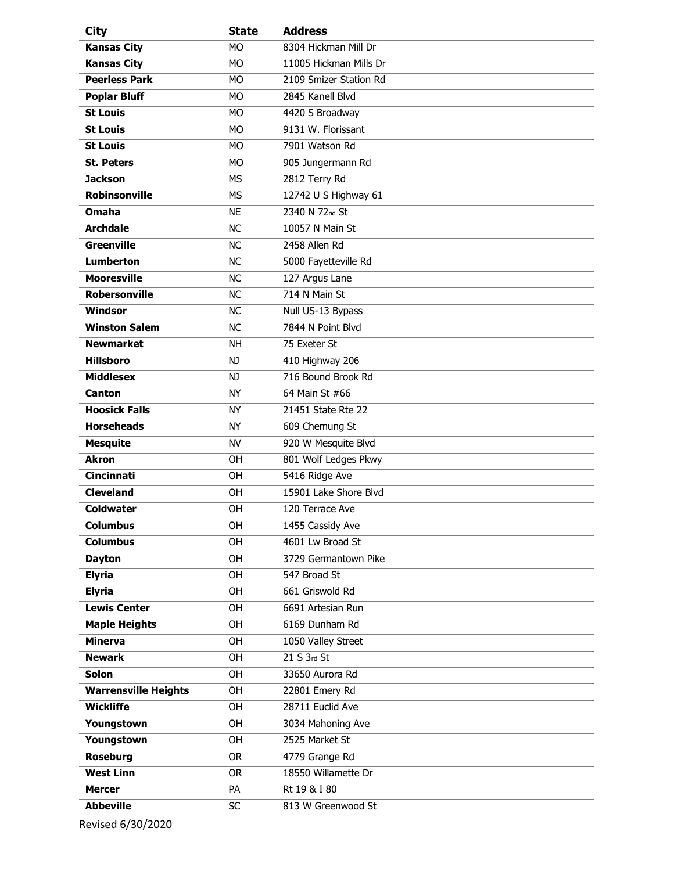| <b>City</b>                 | <b>State</b> | <b>Address</b>         |
|-----------------------------|--------------|------------------------|
| <b>Kansas City</b>          | <b>MO</b>    | 8304 Hickman Mill Dr   |
| <b>Kansas City</b>          | <b>MO</b>    | 11005 Hickman Mills Dr |
| <b>Peerless Park</b>        | <b>MO</b>    | 2109 Smizer Station Rd |
| <b>Poplar Bluff</b>         | <b>MO</b>    | 2845 Kanell Blvd       |
| <b>St Louis</b>             | <b>MO</b>    | 4420 S Broadway        |
| <b>St Louis</b>             | <b>MO</b>    | 9131 W. Florissant     |
| <b>St Louis</b>             | <b>MO</b>    | 7901 Watson Rd         |
| <b>St. Peters</b>           | <b>MO</b>    | 905 Jungermann Rd      |
| <b>Jackson</b>              | <b>MS</b>    | 2812 Terry Rd          |
| <b>Robinsonville</b>        | <b>MS</b>    | 12742 U S Highway 61   |
| Omaha                       | <b>NE</b>    | 2340 N 72nd St         |
| <b>Archdale</b>             | <b>NC</b>    | 10057 N Main St        |
| <b>Greenville</b>           | <b>NC</b>    | 2458 Allen Rd          |
| <b>Lumberton</b>            | <b>NC</b>    | 5000 Fayetteville Rd   |
| <b>Mooresville</b>          | <b>NC</b>    | 127 Argus Lane         |
| <b>Robersonville</b>        | <b>NC</b>    | 714 N Main St          |
| Windsor                     | <b>NC</b>    | Null US-13 Bypass      |
| <b>Winston Salem</b>        | <b>NC</b>    | 7844 N Point Blvd      |
| <b>Newmarket</b>            | <b>NH</b>    | 75 Exeter St           |
| <b>Hillsboro</b>            | NJ.          | 410 Highway 206        |
| <b>Middlesex</b>            | NJ           | 716 Bound Brook Rd     |
| <b>Canton</b>               | <b>NY</b>    | 64 Main St #66         |
| <b>Hoosick Falls</b>        | <b>NY</b>    | 21451 State Rte 22     |
| <b>Horseheads</b>           | <b>NY</b>    | 609 Chemung St         |
| <b>Mesquite</b>             | <b>NV</b>    | 920 W Mesquite Blvd    |
| <b>Akron</b>                | OH           | 801 Wolf Ledges Pkwy   |
| <b>Cincinnati</b>           | OH           | 5416 Ridge Ave         |
| <b>Cleveland</b>            | 0H           | 15901 Lake Shore Blvd  |
| <b>Coldwater</b>            | OH           | 120 Terrace Ave        |
| <b>Columbus</b>             | OH           | 1455 Cassidy Ave       |
| <b>Columbus</b>             | OH           | 4601 Lw Broad St       |
| <b>Dayton</b>               | <b>OH</b>    | 3729 Germantown Pike   |
| <b>Elyria</b>               | OH           | 547 Broad St           |
| <b>Elyria</b>               | <b>OH</b>    | 661 Griswold Rd        |
| <b>Lewis Center</b>         | OH           | 6691 Artesian Run      |
| <b>Maple Heights</b>        | <b>OH</b>    | 6169 Dunham Rd         |
| <b>Minerva</b>              | OH           | 1050 Valley Street     |
| <b>Newark</b>               | <b>OH</b>    | 21 S 3rd St            |
| <b>Solon</b>                | OH           | 33650 Aurora Rd        |
| <b>Warrensville Heights</b> | <b>OH</b>    | 22801 Emery Rd         |
| <b>Wickliffe</b>            | OH           | 28711 Euclid Ave       |
| Youngstown                  | <b>OH</b>    | 3034 Mahoning Ave      |
| Youngstown                  | OH           | 2525 Market St         |
| <b>Roseburg</b>             | <b>OR</b>    | 4779 Grange Rd         |
| <b>West Linn</b>            | <b>OR</b>    | 18550 Willamette Dr    |
| <b>Mercer</b>               | <b>PA</b>    | Rt 19 & I 80           |
| <b>Abbeville</b>            | <b>SC</b>    | 813 W Greenwood St     |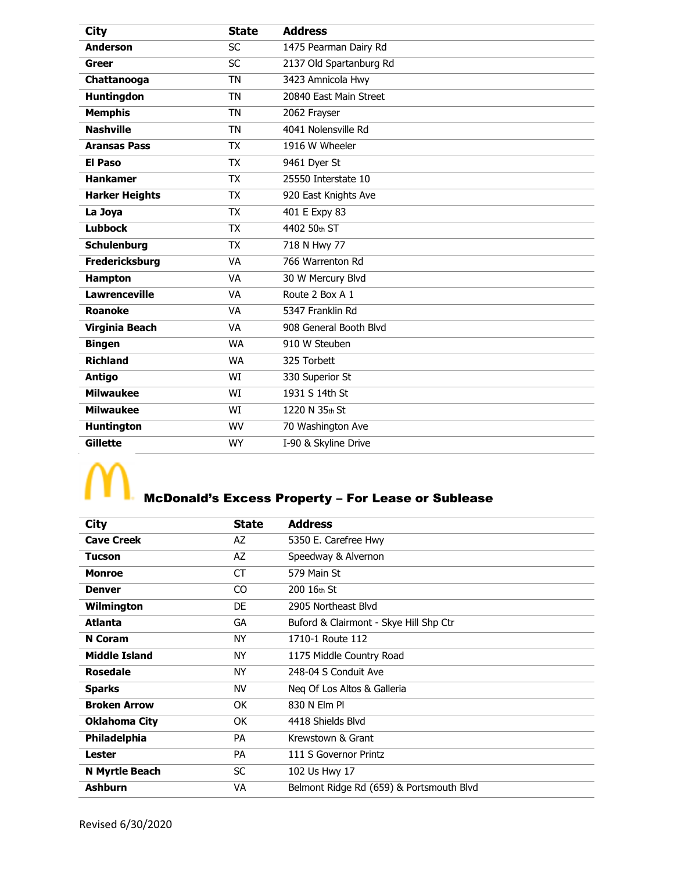| <b>City</b>           | <b>State</b> | <b>Address</b>          |
|-----------------------|--------------|-------------------------|
| <b>Anderson</b>       | <b>SC</b>    | 1475 Pearman Dairy Rd   |
| Greer                 | <b>SC</b>    | 2137 Old Spartanburg Rd |
| Chattanooga           | <b>TN</b>    | 3423 Amnicola Hwy       |
| <b>Huntingdon</b>     | <b>TN</b>    | 20840 East Main Street  |
| <b>Memphis</b>        | <b>TN</b>    | 2062 Frayser            |
| <b>Nashville</b>      | <b>TN</b>    | 4041 Nolensville Rd     |
| <b>Aransas Pass</b>   | <b>TX</b>    | 1916 W Wheeler          |
| <b>El Paso</b>        | <b>TX</b>    | 9461 Dyer St            |
| <b>Hankamer</b>       | <b>TX</b>    | 25550 Interstate 10     |
| <b>Harker Heights</b> | <b>TX</b>    | 920 East Knights Ave    |
| La Joya               | <b>TX</b>    | 401 E Expy 83           |
| <b>Lubbock</b>        | <b>TX</b>    | 4402 50th ST            |
| <b>Schulenburg</b>    | <b>TX</b>    | 718 N Hwy 77            |
| <b>Fredericksburg</b> | VA           | 766 Warrenton Rd        |
| <b>Hampton</b>        | <b>VA</b>    | 30 W Mercury Blvd       |
| <b>Lawrenceville</b>  | VA           | Route 2 Box A 1         |
| Roanoke               | <b>VA</b>    | 5347 Franklin Rd        |
| Virginia Beach        | <b>VA</b>    | 908 General Booth Blvd  |
| <b>Bingen</b>         | <b>WA</b>    | 910 W Steuben           |
| <b>Richland</b>       | <b>WA</b>    | 325 Torbett             |
| <b>Antigo</b>         | WI           | 330 Superior St         |
| <b>Milwaukee</b>      | WI           | 1931 S 14th St          |
| <b>Milwaukee</b>      | WI           | 1220 N 35th St          |
| <b>Huntington</b>     | <b>WV</b>    | 70 Washington Ave       |
| <b>Gillette</b>       | <b>WY</b>    | I-90 & Skyline Drive    |

## $\mathcal{N}_{0}$

# McDonald's Excess Property – For Lease or Sublease

| <b>City</b>          | <b>State</b> | <b>Address</b>                           |
|----------------------|--------------|------------------------------------------|
| <b>Cave Creek</b>    | AZ           | 5350 E. Carefree Hwy                     |
| <b>Tucson</b>        | AZ           | Speedway & Alvernon                      |
| <b>Monroe</b>        | СT           | 579 Main St                              |
| <b>Denver</b>        | CO           | 200 16th St                              |
| Wilmington           | <b>DE</b>    | 2905 Northeast Blvd                      |
| <b>Atlanta</b>       | GA           | Buford & Clairmont - Skye Hill Shp Ctr   |
| <b>N</b> Coram       | NY           | 1710-1 Route 112                         |
| <b>Middle Island</b> | <b>NY</b>    | 1175 Middle Country Road                 |
| <b>Rosedale</b>      | NY           | 248-04 S Conduit Ave                     |
| <b>Sparks</b>        | NV           | Neg Of Los Altos & Galleria              |
| <b>Broken Arrow</b>  | <b>OK</b>    | 830 N Elm Pl                             |
| <b>Oklahoma City</b> | 0K           | 4418 Shields Blvd                        |
| Philadelphia         | <b>PA</b>    | Krewstown & Grant                        |
| Lester               | <b>PA</b>    | 111 S Governor Printz                    |
| N Myrtle Beach       | <b>SC</b>    | 102 Us Hwy 17                            |
| <b>Ashburn</b>       | VA           | Belmont Ridge Rd (659) & Portsmouth Blvd |